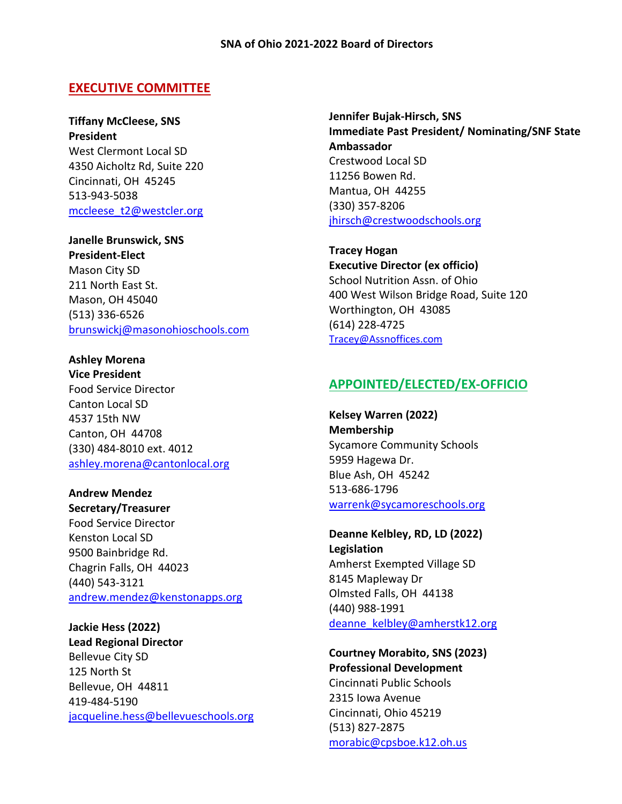### **EXECUTIVE COMMITTEE**

**Tiffany McCleese, SNS President** West Clermont Local SD 4350 Aicholtz Rd, Suite 220 Cincinnati, OH 45245 513-943-5038 [mccleese\\_t2@westcler.org](mailto:mccleese_t2@westcler.org)

**Janelle Brunswick, SNS President-Elect** Mason City SD 211 North East St. Mason, OH 45040 (513) 336-6526 [brunswickj@masonohioschools.com](mailto:brunswickj@masonohioschools.com)

**Ashley Morena Vice President** Food Service Director Canton Local SD 4537 15th NW Canton, OH 44708 (330) 484-8010 ext. 4012 [ashley.morena@cantonlocal.org](mailto:ashley.morena@cantonlocal.org)

**Andrew Mendez Secretary/Treasurer** Food Service Director Kenston Local SD 9500 Bainbridge Rd. Chagrin Falls, OH 44023 (440) 543-3121 [andrew.mendez@kenstonapps.org](mailto:andrew.mendez@kenstonapps.org)

**Jackie Hess (2022) Lead Regional Director** Bellevue City SD 125 North St Bellevue, OH 44811 419-484-5190 [jacqueline.hess@bellevueschools.org](mailto:jacqueline.hess@bellevueschools.org) **Jennifer Bujak-Hirsch, SNS Immediate Past President/ Nominating/SNF State Ambassador** Crestwood Local SD 11256 Bowen Rd. Mantua, OH 44255 (330) 357-8206 [jhirsch@crestwoodschools.org](mailto:jhirsch@crestwoodschools.org)

**Tracey Hogan Executive Director (ex officio)** School Nutrition Assn. of Ohio 400 West Wilson Bridge Road, Suite 120 Worthington, OH 43085 (614) 228-4725 [Tracey@Assnoffices.com](mailto:Tracey@Assnoffices.com)

## **APPOINTED/ELECTED/EX-OFFICIO**

**Kelsey Warren (2022) Membership** Sycamore Community Schools 5959 Hagewa Dr. Blue Ash, OH 45242 513-686-1796 [warrenk@sycamoreschools.org](mailto:warrenk@sycamoreschools.org)

**Deanne Kelbley, RD, LD (2022) Legislation** Amherst Exempted Village SD 8145 Mapleway Dr Olmsted Falls, OH 44138 (440) 988-1991 [deanne\\_kelbley@amherstk12.org](mailto:deanne_kelbley@amherstk12.org)

**Courtney Morabito, SNS (2023) Professional Development** Cincinnati Public Schools 2315 Iowa Avenue Cincinnati, Ohio 45219 (513) 827-2875 [morabic@cpsboe.k12.oh.us](mailto:morabic@cpsboe.k12.oh.us)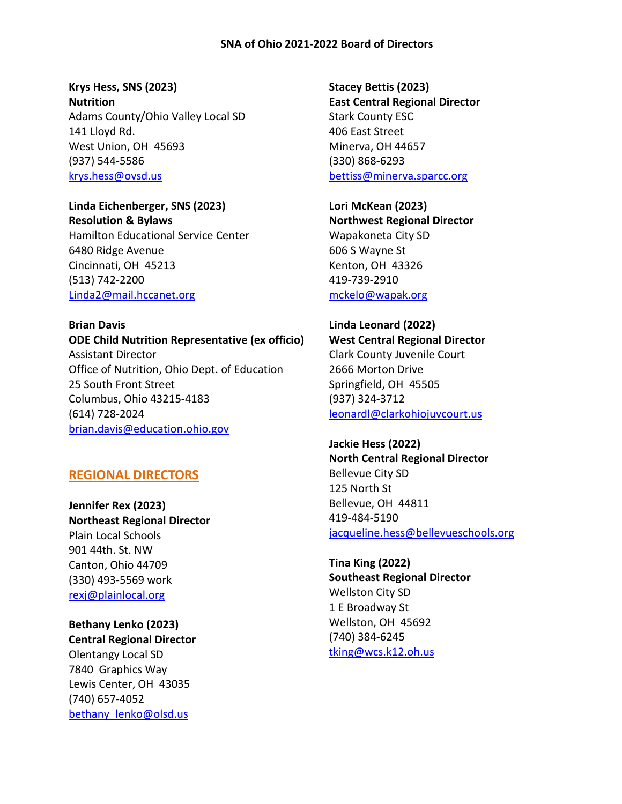#### **SNA of Ohio 2021-2022 Board of Directors**

**Krys Hess, SNS (2023) Nutrition** Adams County/Ohio Valley Local SD 141 Lloyd Rd. West Union, OH 45693 (937) 544-5586 [krys.hess@ovsd.us](mailto:krys.hess@ovsd.us)

**Linda Eichenberger, SNS (2023) Resolution & Bylaws** Hamilton Educational Service Center 6480 Ridge Avenue Cincinnati, OH 45213 (513) 742-2200 [Linda2@mail.hccanet.org](mailto:Linda2@mail.hccanet.org)

**Brian Davis ODE Child Nutrition Representative (ex officio)** Assistant Director Office of Nutrition, Ohio Dept. of Education 25 South Front Street Columbus, Ohio 43215-4183 (614) 728-2024 [brian.davis@education.ohio.gov](mailto:brian.davis@education.ohio.gov)

#### **REGIONAL DIRECTORS**

**Jennifer Rex (2023) Northeast Regional Director** Plain Local Schools 901 44th. St. NW Canton, Ohio 44709 (330) 493-5569 work [rexj@plainlocal.org](mailto:rexj@plainlocal.org)

**Bethany Lenko (2023) Central Regional Director** Olentangy Local SD 7840 Graphics Way Lewis Center, OH 43035 (740) 657-4052 [bethany\\_lenko@olsd.us](mailto:bethany_lenko@olsd.us)

**Stacey Bettis (2023) East Central Regional Director** Stark County ESC 406 East Street Minerva, OH 44657 (330) 868-6293 [bettiss@minerva.sparcc.org](mailto:bettiss@minerva.sparcc.org)

**Lori McKean (2023) Northwest Regional Director** Wapakoneta City SD 606 S Wayne St Kenton, OH 43326 419-739-2910 [mckelo@wapak.org](mailto:mckelo@wapak.org)

**Linda Leonard (2022) West Central Regional Director** Clark County Juvenile Court 2666 Morton Drive Springfield, OH 45505 (937) 324-3712 [leonardl@clarkohiojuvcourt.us](mailto:leonardl@clarkohiojuvcourt.us)

**Jackie Hess (2022) North Central Regional Director** Bellevue City SD 125 North St Bellevue, OH 44811 419-484-5190 [jacqueline.hess@bellevueschools.org](mailto:jacqueline.hess@bellevueschools.org)

**Tina King (2022) Southeast Regional Director** Wellston City SD 1 E Broadway St Wellston, OH 45692 (740) 384-6245 [tking@wcs.k12.oh.us](mailto:tking@wcs.k12.oh.us)